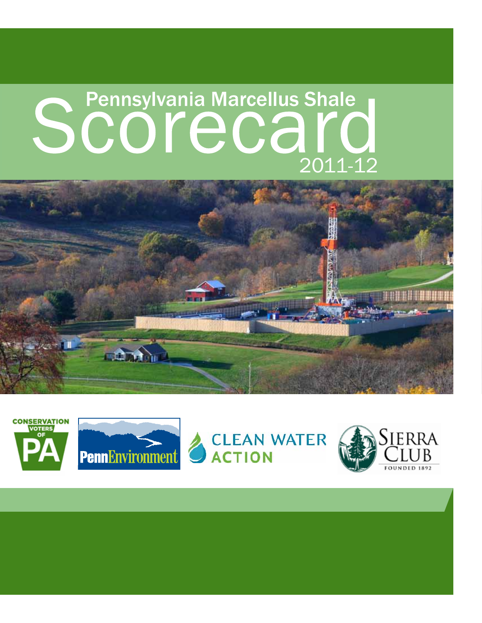# Scotter Pennsylvania Marcellus Shale 2011-12





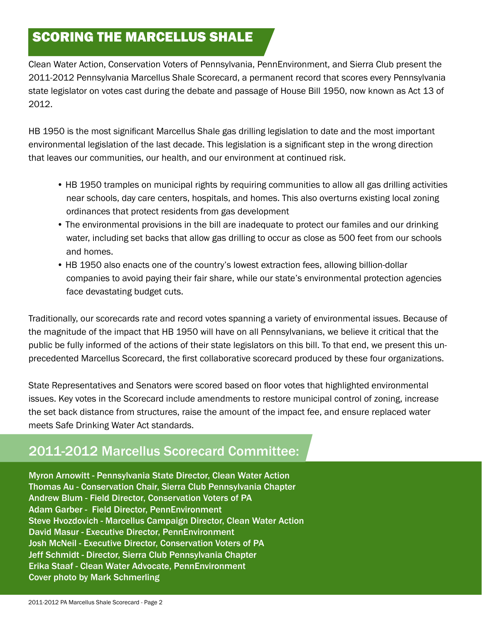## SCORING THE MARCELLUS SHALE

Clean Water Action, Conservation Voters of Pennsylvania, PennEnvironment, and Sierra Club present the 2011-2012 Pennsylvania Marcellus Shale Scorecard, a permanent record that scores every Pennsylvania state legislator on votes cast during the debate and passage of House Bill 1950, now known as Act 13 of 2012.

HB 1950 is the most significant Marcellus Shale gas drilling legislation to date and the most important environmental legislation of the last decade. This legislation is a significant step in the wrong direction that leaves our communities, our health, and our environment at continued risk.

- HB 1950 tramples on municipal rights by requiring communities to allow all gas drilling activities near schools, day care centers, hospitals, and homes. This also overturns existing local zoning ordinances that protect residents from gas development
- The environmental provisions in the bill are inadequate to protect our familes and our drinking water, including set backs that allow gas drilling to occur as close as 500 feet from our schools and homes.
- HB 1950 also enacts one of the country's lowest extraction fees, allowing billion-dollar companies to avoid paying their fair share, while our state's environmental protection agencies face devastating budget cuts.

Traditionally, our scorecards rate and record votes spanning a variety of environmental issues. Because of the magnitude of the impact that HB 1950 will have on all Pennsylvanians, we believe it critical that the public be fully informed of the actions of their state legislators on this bill. To that end, we present this unprecedented Marcellus Scorecard, the first collaborative scorecard produced by these four organizations.

State Representatives and Senators were scored based on floor votes that highlighted environmental issues. Key votes in the Scorecard include amendments to restore municipal control of zoning, increase the set back distance from structures, raise the amount of the impact fee, and ensure replaced water meets Safe Drinking Water Act standards.

# 2011-2012 Marcellus Scorecard Committee:

Myron Arnowitt - Pennsylvania State Director, Clean Water Action Thomas Au - Conservation Chair, Sierra Club Pennsylvania Chapter Andrew Blum - Field Director, Conservation Voters of PA Adam Garber - Field Director, PennEnvironment Steve Hvozdovich - Marcellus Campaign Director, Clean Water Action David Masur - Executive Director, PennEnvironment Josh McNeil - Executive Director, Conservation Voters of PA Jeff Schmidt - Director, Sierra Club Pennsylvania Chapter Erika Staaf - Clean Water Advocate, PennEnvironment Cover photo by Mark Schmerling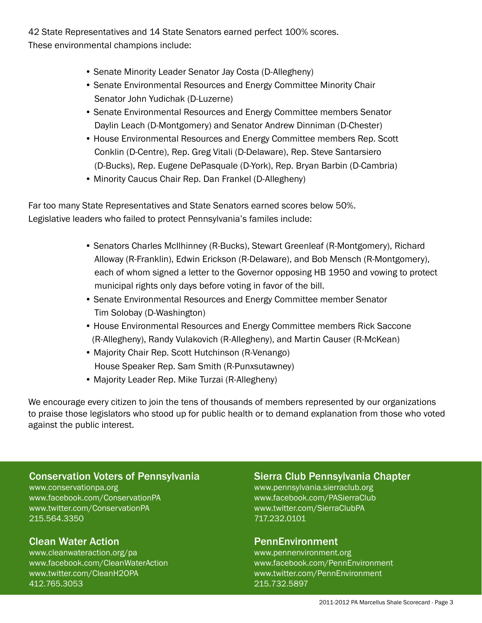42 State Representatives and 14 State Senators earned perfect 100% scores. These environmental champions include:

- Senate Minority Leader Senator Jay Costa (D-Allegheny)
- Senate Environmental Resources and Energy Committee Minority Chair Senator John Yudichak (D-Luzerne)
- Senate Environmental Resources and Energy Committee members Senator Daylin Leach (D-Montgomery) and Senator Andrew Dinniman (D-Chester)
- House Environmental Resources and Energy Committee members Rep. Scott Conklin (D-Centre), Rep. Greg Vitali (D-Delaware), Rep. Steve Santarsiero (D-Bucks), Rep. Eugene DePasquale (D-York), Rep. Bryan Barbin (D-Cambria)
- Minority Caucus Chair Rep. Dan Frankel (D-Allegheny)

Far too many State Representatives and State Senators earned scores below 50%. Legislative leaders who failed to protect Pennsylvania's familes include:

- Senators Charles McIlhinney (R-Bucks), Stewart Greenleaf (R-Montgomery), Richard Alloway (R-Franklin), Edwin Erickson (R-Delaware), and Bob Mensch (R-Montgomery), each of whom signed a letter to the Governor opposing HB 1950 and vowing to protect municipal rights only days before voting in favor of the bill.
- Senate Environmental Resources and Energy Committee member Senator Tim Solobay (D-Washington)
- House Environmental Resources and Energy Committee members Rick Saccone (R-Allegheny), Randy Vulakovich (R-Allegheny), and Martin Causer (R-McKean)
- Majority Chair Rep. Scott Hutchinson (R-Venango) House Speaker Rep. Sam Smith (R-Punxsutawney)
- Majority Leader Rep. Mike Turzai (R-Allegheny)

We encourage every citizen to join the tens of thousands of members represented by our organizations to praise those legislators who stood up for public health or to demand explanation from those who voted against the public interest.

## Conservation Voters of Pennsylvania

www.conservationpa.org www.facebook.com/ConservationPA www.twitter.com/ConservationPA 215.564.3350

## Clean Water Action

www.cleanwateraction.org/pa www.facebook.com/CleanWaterAction www.twitter.com/CleanH2OPA 412.765.3053

#### Sierra Club Pennsylvania Chapter

www.pennsylvania.sierraclub.org www.facebook.com/PASierraClub www.twitter.com/SierraClubPA 717.232.0101

#### PennEnvironment

www.pennenvironment.org www.facebook.com/PennEnvironment www.twitter.com/PennEnvironment 215.732.5897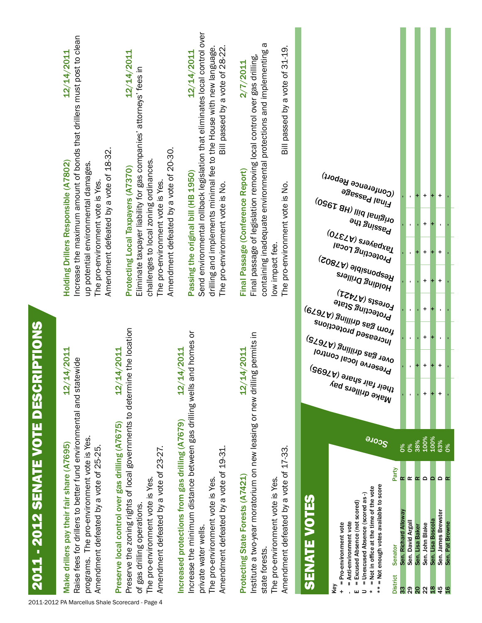|                                             | increase the maximum amount of bonds that drillers must post to clean<br>12/14/2011<br>Amendment defeated by a vote of 18-32.<br>Holding Drillers Responsible (A7802)<br>up potential environmental damages.<br>The pro-environment vote is Yes. | 12/14/2011<br>Eliminate taxpayer liability for gas companies' attorneys' fees in<br>Amendment defeated by a vote of 20-30.<br>challenges to local zoning ordinances.<br>Protecting Local Taxpayers (A7370)<br>The pro-environment vote is Yes. | Send environmental rollback legislation that eliminates local control over<br>drilling and implements minimal fee to the House with new language.<br>Bill passed by a vote of 28-22.<br>12/14/2011<br>Passing the original bill (HB 1950)<br>The pro-environment vote is No. | a<br>$31 - 19$ .<br>containing inadequate environmental protections and implementing<br>Final passage of legislation removing local control over gas drilling,<br>2/7/2011<br>Bill passed by a vote of<br>Final Passage (Conference Report)<br>The pro-environment vote is No.<br>low impact fee. | $\omega_{\rm{U}}$ erence Report)<br>agessed leni <sup>3</sup><br>0960 pill (HB 1920)<br>(0960 pill)<br><b>ayı Suissed</b><br>Taxpayers <sub>(A7370)</sub><br><b>Protecting Local</b><br>Besponsible (A7802)<br><b>Holding Drillers</b><br>$\epsilon_{\text{Ores} \text{ts}}$ (A7421)                                  |                                                       |                                            | $\ddot{}$<br>$\ddot{}$<br>$\ddot{}$<br>$\ddot{}$ | $\ddot{}$<br>$\mathbf{r}$<br>$\ddot{}$<br>$\ddot{}$                       |                       |
|---------------------------------------------|--------------------------------------------------------------------------------------------------------------------------------------------------------------------------------------------------------------------------------------------------|------------------------------------------------------------------------------------------------------------------------------------------------------------------------------------------------------------------------------------------------|------------------------------------------------------------------------------------------------------------------------------------------------------------------------------------------------------------------------------------------------------------------------------|---------------------------------------------------------------------------------------------------------------------------------------------------------------------------------------------------------------------------------------------------------------------------------------------------|-----------------------------------------------------------------------------------------------------------------------------------------------------------------------------------------------------------------------------------------------------------------------------------------------------------------------|-------------------------------------------------------|--------------------------------------------|--------------------------------------------------|---------------------------------------------------------------------------|-----------------------|
|                                             | 12/14/2011                                                                                                                                                                                                                                       | 12/14/2011                                                                                                                                                                                                                                     | 12/14/2011                                                                                                                                                                                                                                                                   | g permits in<br>12/14/2011                                                                                                                                                                                                                                                                        | Protecting State<br>(و267) gas anillinb <sup>gag</sup> mo <sup>rt</sup><br>suollosed protections<br><sub>Over gas drilling (A7675)</sub><br><b>Preserve local control</b><br>Make drillers pay<br>their fair share (A7695)<br><sup>Make</sup> drillers pay                                                            | $\mathbf{r}$                                          |                                            | $\ddot{}$<br>$\ddot{}$<br>$\ddot{}$<br>$\ddot{}$ | $\mathbf{r}$<br>$\mathbf{r}$<br>$\ddot{}$<br>÷<br>$\ddot{}$               |                       |
|                                             |                                                                                                                                                                                                                                                  |                                                                                                                                                                                                                                                |                                                                                                                                                                                                                                                                              |                                                                                                                                                                                                                                                                                                   | <b>SCOTE</b><br>Party                                                                                                                                                                                                                                                                                                 | $\delta$<br>$\delta$<br>œ                             | 38%<br>$\propto \propto$                   | 100%<br>$\mathbf \Omega$                         | 100%<br>$\sim \alpha$<br>$\mathbf{a}$                                     | <b>63%</b><br>0%      |
| <b>2011 - 2012 SENATE VOTE DESCRIPTIONS</b> | Raise fees for drillers to better fund environmental and statewide<br>programs. The pro-environment vote is Yes.<br>Make drillers pay their fair share (A7695)<br>Amendment defeated by a vote of 25-25.                                         | Preserve the zoning rights of local governments to determine the location<br>Preserve local control over gas drilling (A7675)<br>Amendment defeated by a vote of 23-27.<br>The pro-environment vote is Yes.<br>of gas drilling operations      | Increase the minimum distance between gas drilling wells and homes or<br>Increased protections from gas drilling (A7679)<br>Amendment defeated by a vote of 19-31.<br>The pro-environment vote is Yes.<br>private water wells.                                               | Institute a two-year moratorium on new leasing or new drillin<br>Amendment defeated by a vote of 17-33.<br>Protecting State Forests (A7421)<br>The pro-environment vote is Yes.<br>state forests.                                                                                                 | = Not enough votes available to score<br>= Not in office at the time of the vote<br>= Unexcused Absence (scored as-)<br><b>SENATE VOTES</b><br>= Excused Absence (not scored)<br>= Anti-environment vote<br>= Pro-environment vote<br>Senator<br><b>District</b><br>Key<br>$\ddot{}$<br>ш<br>$\Rightarrow$<br>$\star$ | Sen. Richard Alloway<br>Sen. David Argall<br>33<br>29 | Sen. Lisa Baker<br>$\overline{\mathbf{S}}$ | Sen. John Blake<br>$\boldsymbol{\mathsf{22}}$    | Sen. James Brewster<br>Sen. Lisa Boscola<br>45<br>$\overline{\mathbf{g}}$ | Sen. Pat Browne<br>9F |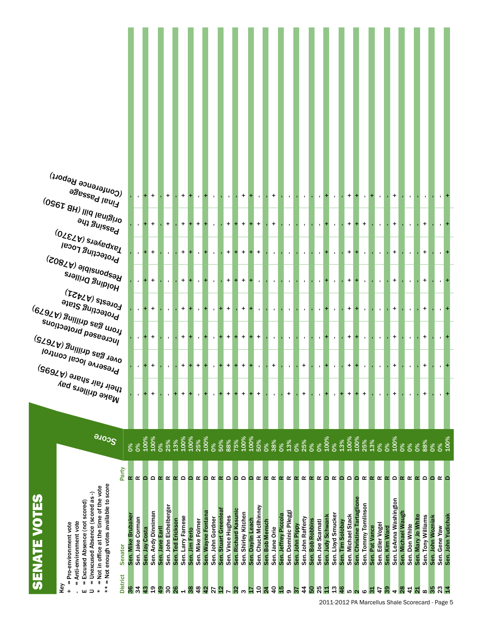| (Conference Report)<br>egessed leui <sup>1</sup>                                                                                  |                |                | $+$      |    | $+$          |           | $+$                           |                |          |                |           |                     | $+$       |          | $\blacksquare$ |          | $\ddot{}$    |                |           |           |           | $\blacksquare$           |               |          | +         |          | $\mathbf{I}$ |           |                |           | +        |          |                 |          |          |                   |      |
|-----------------------------------------------------------------------------------------------------------------------------------|----------------|----------------|----------|----|--------------|-----------|-------------------------------|----------------|----------|----------------|-----------|---------------------|-----------|----------|----------------|----------|--------------|----------------|-----------|-----------|-----------|--------------------------|---------------|----------|-----------|----------|--------------|-----------|----------------|-----------|----------|----------|-----------------|----------|----------|-------------------|------|
| $^{(0$ ولا قابا) اابار (B $^{(026)}$                                                                                              |                |                | +        |    | $\ddot{}$    |           | $\ddot{}$                     | $+$            | $+$      |                |           | $\ddot{}$<br>$+$    | $+$       | $+$      | $\ddot{}$      |          | $\ddot{}$    |                |           |           |           |                          |               |          | $\ddot{}$ |          | $+$          |           |                |           | +        |          |                 |          |          |                   |      |
| <b>Passing the</b><br>O2 SJON SJON RYSSO<br><b>Protecting Local</b>                                                               |                |                |          |    |              |           | +                             | $\mathbf{L}$   |          |                |           | $\ddot{}$<br>$+$    | $+$       | $+$      | $\ddot{}$      |          | $\mathbf{L}$ |                |           |           |           | $\mathbf{I}$             |               |          | +         |          | $\mathbf{r}$ |           |                |           | +        |          |                 |          |          |                   |      |
| (2087م) eldisnoq <sup>e (</sup> A<br><sup>Holding Drillers</sup>                                                                  |                |                |          |    |              |           | +                             |                |          |                |           | $\ddot{}$<br>$+$    | $+$       | $+$      | $\blacksquare$ |          |              |                |           |           |           | $\mathbf{I}$             |               |          | +         |          | $\mathbf{r}$ |           |                |           | +        |          |                 |          |          |                   |      |
| $\epsilon_{\text{O}}$ rests (A $\lambda$ 451)<br>Protecting State                                                                 |                |                |          |    |              |           | $\ddot{}$                     | $\mathbf{L}$   | ÷        | $\blacksquare$ | ٠.        | $\ddot{}$           | $\ddot{}$ | $\pm$    | $\blacksquare$ |          |              |                |           |           |           | $\blacksquare$           |               |          | +         |          |              |           |                |           | +        |          |                 |          |          |                   |      |
| $^{(6297)}$ 8 <sup>nillinb as8 mo<sup>11</sup></sup><br><sub>l</sub> ncreased protections<br><sup>0ver gas drilling (A7675)</sup> |                | $\blacksquare$ |          |    |              |           | +                             |                |          | $\blacksquare$ | +         | $\ddot{}$           | $+$       | $\pm$    | $\ddot{}$      |          | $\mathbf{I}$ |                |           |           |           |                          |               |          | +         |          |              |           |                |           | +        |          |                 |          |          |                   |      |
| <b>Preserve local control</b>                                                                                                     |                |                |          |    |              |           | +                             | $\ddot{}$      |          |                |           | +                   |           |          |                |          | +            |                |           | +         |           |                          |               |          | +         |          |              |           |                |           | +        |          |                 |          |          |                   |      |
| <sup>Make drillers</sup> pay<br>their fair share (A7695)<br><sup>Make drillers</sup> pay                                          |                |                | +        |    | $\mathbf{I}$ |           | $\ddot{}$                     | $\blacksquare$ |          |                |           | +                   | +         | ÷        | $\ddot{}$      |          |              | +              |           | +         |           | $\overline{\phantom{a}}$ |               |          | $\ddot{}$ |          | +            |           |                |           | +        |          |                 | +        |          |                   |      |
|                                                                                                                                   |                |                |          |    |              |           |                               |                |          |                |           |                     |           |          |                |          |              |                |           |           |           |                          |               |          |           |          |              |           |                |           |          |          |                 |          |          |                   |      |
| <b>SCOTE</b>                                                                                                                      | 0%<br>$\delta$ | 100%           | 100%     | o% | 25%          | 13%       | 100%<br>100%                  | 25%            | 100%     | 0%             | 50%       | 88%<br>75%          | 100%      | 100%     | 50%            | $0\%$    | 38%          | 13%<br>0%      | 0%        | 25%       | <b>D%</b> | 0%                       | 100%<br>0%    | 13%      | 100%      | 100%     | 25%          | 13%       | $\frac{8}{20}$ | 0%        | 100%     | 0%       | <b>D%</b><br>O% | 88%      | 0%       | D%                | 100% |
| Party                                                                                                                             |                |                |          |    | œ            | $\propto$ | $\Omega$<br>$\mathbf{\Omega}$ | œ              | $\Omega$ | œ              | $\propto$ | $\Omega$<br>$\circ$ | Δ         | $\Omega$ | œ              | $\alpha$ | œ            | œ<br>$\propto$ | $\propto$ | $\propto$ | $\alpha$  | $\propto$                | œ<br>$\Omega$ | $\Omega$ | $\circ$   | $\Omega$ | œ            | $\propto$ | œ              | $\propto$ | $\Omega$ | $\alpha$ | œ<br>$\propto$  | $\Omega$ | $\Omega$ | $\alpha$ $\alpha$ |      |
| = Not enough votes available to score<br>= Not in office at the time of the vote<br>= Unexcused Absence (scored as -)             | œ              | $\Omega$       | $\Omega$ | œ  |              |           |                               |                |          |                |           |                     |           |          |                |          |              |                |           |           |           |                          |               |          |           |          |              |           |                |           |          |          |                 |          |          |                   |      |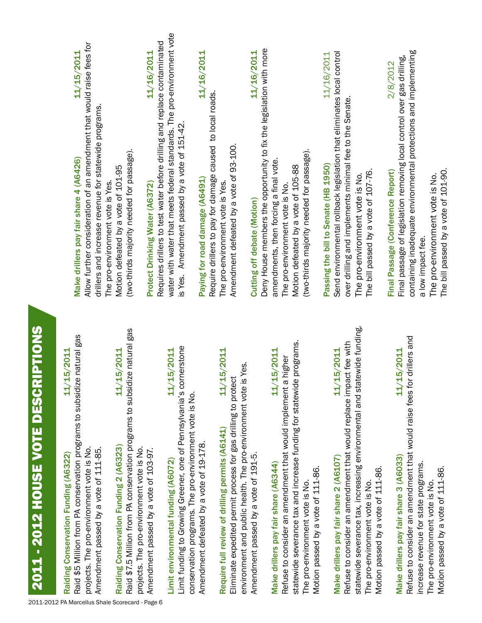| Raid \$5 Million from PA conservation programs to subsidize natural gas<br>11/15/2011<br>Raiding Conservation Funding (A6322)                                          | 11/15/2011<br>Make drillers pay fair share 4 (A6426)                                                                                                               |
|------------------------------------------------------------------------------------------------------------------------------------------------------------------------|--------------------------------------------------------------------------------------------------------------------------------------------------------------------|
| projects. The pro-environment vote is No.<br>Amendment passed by a vote of 111-85.                                                                                     | Allow further consideration of an amendment that would raise fees for<br>drillers and increase revenue for statewide programs.<br>The pro-environment vote is Yes. |
| 11/15/2011<br>Raiding Conservation Funding 2 (A6323)                                                                                                                   | Motion defeated by a vote of 101-95                                                                                                                                |
| Raid \$7.5 Million from PA conservation programs to subsidize natural gas<br>projects. The pro-environment vote is No.                                                 | (two-thirds majority needed for passage).                                                                                                                          |
| Amendment passed by a vote of 103-97.                                                                                                                                  | 11/16/2011<br>Protect Drinking Water (A6372)                                                                                                                       |
|                                                                                                                                                                        | Requires drillers to test water before drilling and replace contaminated                                                                                           |
| Limit funding to Growing Greener, one of Pennsylvania's cornerstone<br>11/15/2011<br>Limit environmental funding (A6072)                                               | water with water that meets federal standards. The pro-environment vote<br>is Yes. Amendment passed by a vote of 151-42.                                           |
| conservation programs. The pro-environment vote is No.                                                                                                                 |                                                                                                                                                                    |
| Amendment defeated by a vote of 19-178.                                                                                                                                | 11/16/2011<br>Require drillers to pay for damage caused to local roads.<br>Paying for road damage (A6491)                                                          |
| 11/15/2011<br>Require full review of drilling permits (A6141)                                                                                                          | The pro-environment vote is Yes.                                                                                                                                   |
| environment and public health. The pro-environment vote is Yes.<br>Eliminate expedited permit process for gas drilling to protect                                      | Amendment defeated by a vote of 93-100.                                                                                                                            |
| Amendment passed by a vote of 191-5.                                                                                                                                   | 11/16/2011<br>Cutting off debate (Motion)                                                                                                                          |
|                                                                                                                                                                        | Deny House members the opportunity to fix the legislation with more                                                                                                |
| 11/15/2011<br>Make drillers pay fair share (A6344)                                                                                                                     | amendments, then forcing a final vote.                                                                                                                             |
| Refuse to consider an amendment that would implement a higher                                                                                                          | The pro-environment vote is No.                                                                                                                                    |
| e programs.<br>statewide severance tax and increase funding for statewid                                                                                               | Motion defeated by a vote of 105-88                                                                                                                                |
| Motion passed by a vote of 111-86.<br>The pro-environment vote is No.                                                                                                  | (two-thirds majority needed for passage).                                                                                                                          |
|                                                                                                                                                                        | 11/16/2011<br>Passing the bill to Senate (HB 1950)                                                                                                                 |
| 11/15/2011<br>Make drillers pay fair share 2 (A6107)                                                                                                                   | Send environmental rollback legislation that eliminates local control                                                                                              |
| statewide severance tax, increasing environmental and statewide funding.<br>Refuse to consider an amendment that would replace impact fee with                         | over drilling and implements minimal fee to the Senate.<br>The pro-environment vote is No.                                                                         |
| Motion passed by a vote of 111-86.<br>The pro-environment vote is No.                                                                                                  | The bill passed by a vote of 107-76.                                                                                                                               |
|                                                                                                                                                                        | 2/8/2012<br>Final Passage (Conference Report)                                                                                                                      |
| Refuse to consider an amendment that would raise fees for drillers and<br>11/15/2011<br>Make drillers pay fair share 3 (A6033)<br>increase revenue for state programs. | containing inadequate environmental protections and implementing<br>Final passage of legislation removing local control over gas drilling,<br>a low impact fee.    |
| Motion passed by a vote of 111-86.<br>The pro-environment vote is No.                                                                                                  | The bill passed by a vote of 101-90.<br>The pro-environment vote is No.                                                                                            |
|                                                                                                                                                                        |                                                                                                                                                                    |

2011 - 2012 HOUSE VOTE DESCRIPTIONS

2011 - 2012 HOUSE VOTE DESCRIPTIONS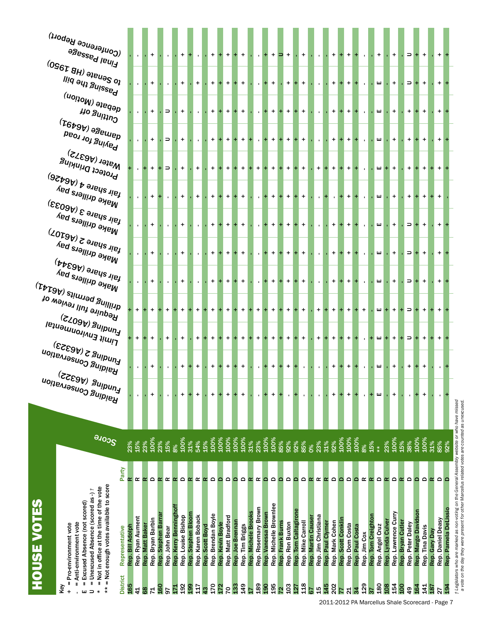|                    | (Conference Report)                                                                                                                                                                                            |                  |                  |                 |                   |                    |                |                                             |                    |                   |                 |                    |             |                    |                  |                 |                     |                     |                                              |                  |                 |                      |                      |                   |                     |                                     |                    |                |                 |              |                    |                 |                   |                     |                   |                  |                     |                                  |                   |                      |
|--------------------|----------------------------------------------------------------------------------------------------------------------------------------------------------------------------------------------------------------|------------------|------------------|-----------------|-------------------|--------------------|----------------|---------------------------------------------|--------------------|-------------------|-----------------|--------------------|-------------|--------------------|------------------|-----------------|---------------------|---------------------|----------------------------------------------|------------------|-----------------|----------------------|----------------------|-------------------|---------------------|-------------------------------------|--------------------|----------------|-----------------|--------------|--------------------|-----------------|-------------------|---------------------|-------------------|------------------|---------------------|----------------------------------|-------------------|----------------------|
|                    | <b>PRESSED HEUIJ</b>                                                                                                                                                                                           |                  |                  |                 |                   |                    |                | $\ddot{}$                                   |                    |                   |                 | $\ddot{}$          | $\pm$       | $+$                |                  | $\ddot{}$       |                     |                     | $\ddot{}$                                    | ∍                | $+$             |                      | $\ddot{}$            |                   | $\mathbf{r}$        | $+$                                 | $+$                | $+$            |                 |              |                    | $+$             |                   | $\ddot{}$           |                   | $\Rightarrow$    |                     | $+$                              | $+$               |                      |
|                    | $^{(096}$ T 8H) ə $_{\rm{Je\mu\theta S}}$ oʻ<br>liid əni griiz <sup>ge</sup> d                                                                                                                                 |                  |                  |                 | $+$               |                    |                | $\ddot{}$                                   |                    | $+$               |                 | $\ddot{}$          | $\pm$       | $\ddot{}$          | $\ddot{}$        | $\ddot{}$       |                     |                     | $+$<br>$+$                                   |                  | $+$             | $\ddot{}$            | $\ddot{\phantom{1}}$ |                   | $\mathbf{r}$        | $+$                                 | $+$                | $+$            | $\ddot{}$       |              |                    | ш               |                   | $\ddot{}$           |                   | $\Rightarrow$    | $+$                 | $\ddot{}$                        | $+$               |                      |
|                    | <sub>debate (Motion)</sub>                                                                                                                                                                                     |                  |                  |                 | $+$               |                    | $\Rightarrow$  | $\ddot{}$                                   |                    |                   |                 | $\ddot{}$          | $\pm$       | $\ddot{}$          |                  | $\ddot{}$       |                     |                     | $+$                                          |                  | $\ddot{}$       | $+$                  | $\ddot{}$            |                   |                     | $+$                                 | $+$                | $+$            |                 |              |                    | ш               |                   | $\ddot{}$           |                   | $+$              |                     | $+$                              | $+$               |                      |
|                    | <b>Ho Suitiu<sup>O</sup></b><br>${}^{(T6p9b)}$ əge $u$ lep                                                                                                                                                     |                  |                  |                 |                   |                    |                |                                             |                    |                   |                 |                    |             |                    |                  |                 |                     |                     |                                              |                  |                 |                      |                      |                   | $\mathbf{r}$        |                                     |                    |                |                 |              |                    |                 |                   |                     |                   |                  |                     |                                  |                   |                      |
|                    | <b>Paying for road</b>                                                                                                                                                                                         |                  |                  |                 | $+$               |                    | $\Rightarrow$  | $\ddot{}$                                   |                    |                   |                 | $\ddot{}$          |             | $\ddot{}$          |                  | $\ddot{}$       | $\ddot{}$           | $\mathbf{r}$        | $\ddot{}$                                    |                  | $\ddot{}$       | $+$                  | $\ddot{}$            |                   |                     | $+$                                 | $+$                | $+$            |                 |              |                    | ш               |                   | $\ddot{}$           |                   | $+$              |                     | $+$                              | $+$               |                      |
|                    | $W_{\text{after}}(\text{AG3}\text{yz})$<br>Protect Drinking                                                                                                                                                    |                  |                  |                 | $+$               | $+1$               |                | $\ddot{}$                                   |                    | $+$               |                 | $\ddot{}$          | $\pm$       | $+$                |                  | $+$             | $+$                 | $\ddot{}$           | $\ddot{}$<br>$+$                             |                  | $+$             | $+$                  | $\ddot{}$            |                   | $\ddot{}$           | $+$                                 | $\pm$              | $+$            |                 |              |                    | ш               | $+$               | $+$                 |                   | $+$              |                     | $\ddot{}$                        | $+$               |                      |
|                    | $\epsilon_{\rm qg}$ le alba $\epsilon_{\rm d}$ (A $\epsilon_{\rm qg}$ 26)                                                                                                                                      |                  |                  |                 |                   |                    |                |                                             |                    |                   |                 |                    |             |                    |                  |                 |                     |                     |                                              |                  |                 |                      |                      |                   |                     |                                     |                    |                |                 |              |                    |                 |                   |                     |                   |                  |                     |                                  |                   |                      |
|                    | Make drillers pay                                                                                                                                                                                              |                  |                  |                 |                   |                    |                | $\ddot{}$                                   |                    | $+$               |                 | $\ddot{}$          | $\pm$       | $\pm$              |                  | $\ddot{}$       |                     |                     | $\ddot{}$                                    |                  | $\ddot{}$       | $+$                  | $\ddot{}$            |                   | $\mathbf{r}$        |                                     | $\pm$              | $+$            |                 |              |                    | ш               |                   | $\ddot{}$           |                   | $+$              |                     | $\ddot{}$                        | $+$               |                      |
|                    | $_{\mathfrak{f}^{\mathfrak{gl}k}}$ share 3 (A6033)<br><sup>Make drillers</sup> pay                                                                                                                             |                  |                  |                 |                   |                    |                | $\ddot{}$                                   |                    |                   |                 | $\ddot{}$          | $\pm$       | $+$                |                  | $+$             |                     |                     | $\ddot{}$                                    |                  | $\ddot{}$       | $+$                  | $\ddot{}$            |                   | $\mathbf{r}$        | $+$                                 | $\ddot{}$          | $+$            |                 |              |                    | ш               |                   | $\ddot{}$           |                   | $\Rightarrow$    |                     | $\ddot{}$                        | $+$               |                      |
|                    | $\epsilon_{\rm{N}}$ anare 5 (A6107)<br>Make drillers pay                                                                                                                                                       |                  |                  |                 |                   |                    |                |                                             |                    |                   |                 |                    |             |                    |                  |                 |                     |                     | $\ddot{}$                                    |                  | $\ddot{}$       |                      |                      |                   |                     |                                     |                    |                |                 |              |                    | ш               |                   |                     |                   |                  |                     | $\ddot{}$                        | $+$               |                      |
|                    | $^{\dagger}$ air share (A6344)                                                                                                                                                                                 |                  |                  |                 |                   |                    |                | $\ddot{}$                                   |                    |                   |                 | $\ddot{}$          | $+$         | $\ddot{}$          |                  | $\ddot{}$       |                     |                     |                                              |                  |                 | $\pm$                | $\ddot{}$            |                   |                     | $+$                                 | $\ddot{}$          | $+$            |                 |              |                    |                 |                   | $\ddot{}$           |                   | $\Rightarrow$    |                     |                                  |                   |                      |
|                    | <sup>Make drillers</sup> pay                                                                                                                                                                                   |                  |                  |                 |                   |                    |                | $\ddot{}$                                   |                    |                   |                 | $\ddot{}$          | $\pm$       | $\ddot{}$          |                  | $\ddot{}$       |                     |                     | $\ddot{}$                                    |                  | $\ddot{}$       | $+$                  | $+$                  |                   | $\mathbf{r}$        | $+$                                 |                    | $+$            |                 |              |                    | ш               |                   | $\ddot{}$           |                   | $\Rightarrow$    |                     | $\ddot{}$                        | $+$               |                      |
|                    | $\tau_{\rm trIQb}$ etimis (A $\epsilon_{\rm 1}$<br>Require full review of                                                                                                                                      |                  | $\ddot{}$        |                 |                   |                    | $+$            | $\ddot{}$                                   |                    | $+$               |                 | $\ddot{}$          | $\pm$       | $+$                |                  | $+$             | $\pm$               | $\ddot{}$           | $\ddot{}$                                    |                  | $+$             | $+$                  | $\ddot{}$            |                   | $\ddot{}$           | $+$                                 |                    | $+$            |                 | $+$          |                    | ш               |                   | $+$                 |                   | $\Rightarrow$    |                     | $\ddot{}$                        |                   |                      |
|                    | <sub>لـMul</sub> na (۱۹۵۳)<br>רושוג בוואויסוו <sub>וח</sub> פוו <sup>פן</sup>                                                                                                                                  |                  |                  |                 |                   |                    |                |                                             |                    |                   |                 |                    |             |                    |                  |                 |                     |                     |                                              |                  |                 |                      |                      |                   |                     |                                     |                    |                |                 |              |                    |                 |                   |                     |                   |                  |                     |                                  |                   |                      |
|                    | $_{\rm{Lnuging\,5}}^{(\rm{ke353})}$                                                                                                                                                                            |                  | $\ddot{}$        |                 | $+$               |                    | $\ddot{}$      | $\ddot{}$                                   |                    | $+$               |                 | $\ddot{}$          |             | $\ddot{}$          |                  | $+$             | $+$                 | $\ddot{}$           | $\ddot{}$                                    |                  | $+$             | $+$                  | $\ddot{}$            |                   | $\ddot{}$           | $+$                                 |                    | $+$            |                 |              |                    | ш               |                   | $+$                 |                   | $\Rightarrow$    |                     | $\ddot{}$                        |                   |                      |
|                    | <b>Haiding Conservation</b>                                                                                                                                                                                    |                  |                  |                 |                   |                    |                | +                                           |                    | $+$               |                 | $\ddot{}$          | $\pm$       | $\pm$              |                  | $\ddot{}$       |                     |                     | $\ddot{}$                                    |                  | $\ddot{}$       |                      | $\mathbf{r}$         |                   | $\mathbf{r}$        | $+$                                 |                    | $+$            |                 |              |                    | ш               |                   | $\ddot{}$           |                   | $+$              |                     | $\ddot{}$                        |                   |                      |
|                    | <b>Funding (A6322)</b><br>Uolieviesnoo gnibieri                                                                                                                                                                |                  | $\blacksquare$   |                 | +                 |                    | $\mathbf{r}$   | +                                           |                    | +                 |                 | +                  |             | +                  |                  | +               |                     |                     | $\ddot{}$                                    |                  |                 |                      |                      |                   | $\blacksquare$      | +                                   |                    | +              |                 | $\mathbf{I}$ |                    | ш               |                   | +                   |                   |                  |                     | +                                |                   |                      |
|                    |                                                                                                                                                                                                                |                  |                  |                 |                   |                    |                |                                             |                    |                   |                 |                    |             |                    |                  |                 |                     |                     |                                              |                  |                 |                      |                      |                   |                     |                                     |                    |                |                 |              |                    |                 |                   |                     |                   |                  |                     |                                  |                   |                      |
|                    |                                                                                                                                                                                                                |                  |                  |                 |                   |                    |                |                                             |                    |                   |                 |                    |             |                    |                  |                 |                     |                     |                                              |                  |                 |                      |                      |                   |                     |                                     |                    |                |                 |              |                    |                 |                   |                     |                   |                  |                     |                                  |                   |                      |
|                    | <b>SCOTE</b>                                                                                                                                                                                                   | 23%              | 15%              | 23%             | 100%              | 23%                | 15%            | 100%                                        | 31%                | 54%               | 15%             | 100%               | 100%        | 100%               | 100%             | 100%            | 31%                 | 23%                 | 100%<br>100%                                 | 85%              | 92%             | 92%                  | 85%                  | $\delta$          | 23%                 | 31%<br>92%                          | 100%               | 100%           | 100%            | 8%           | 15%                | $*$             | 23%               | 100%                | 15%               | 38%              | 100%<br>100%        | 31%                              | 85%               | 92%                  |
|                    | Party                                                                                                                                                                                                          |                  | œ                | œ               | ٥                 | $\alpha$           | œ              | $\Omega$<br>$\alpha$                        | Œ                  | œ                 | $\alpha$        | $\Omega$           | $\Omega$    | $\Omega$           | $\Omega$         | Δ               | $\alpha$            | $\propto$           | $\Omega$<br>$\Omega$                         | ≏                | Δ               | $\Omega$             | $\circ$              | $\alpha$          | œ                   | $\circ$<br>œ                        | $\Omega$           | $\circ$        | $\Omega$        | œ            | $\propto$          | $\circ$         | $\alpha$          | $\circ$             | $\alpha$          | Δ                | ≏                   | Δ<br>$\propto$                   | $\Omega$          |                      |
|                    |                                                                                                                                                                                                                |                  |                  |                 |                   |                    |                |                                             |                    |                   |                 |                    |             |                    |                  |                 |                     |                     |                                              |                  |                 |                      |                      |                   |                     |                                     |                    |                |                 |              |                    |                 |                   |                     |                   |                  |                     |                                  |                   |                      |
|                    |                                                                                                                                                                                                                |                  |                  |                 |                   |                    |                |                                             |                    |                   |                 |                    |             |                    |                  |                 |                     |                     |                                              |                  |                 |                      |                      |                   |                     |                                     |                    |                |                 |              |                    |                 |                   |                     |                   |                  |                     |                                  |                   |                      |
|                    |                                                                                                                                                                                                                |                  |                  |                 |                   |                    |                |                                             |                    |                   |                 |                    | Kevin Boyle |                    |                  |                 |                     |                     |                                              |                  |                 |                      |                      |                   |                     |                                     |                    |                |                 |              |                    |                 |                   |                     |                   |                  |                     |                                  |                   |                      |
|                    | Representative                                                                                                                                                                                                 | Rep. Bill Adolph | Rep. Ryan Aument | Rep. Matt Baker | Rep. Bryan Barbin | Rep. Stephen Barra | Rep. John Bear | Rep. Kerry Benninghof<br>Rep. Louise Bishop | Rep. Stephen Bloom | Rep. Karen Boback | Rep. Scott Boyd | Rep. Brendan Boyle | Rep.        | Rep. Matt Bradford | Rep. Joe Brennan | Rep. Tim Briggs | Rep. Michele Brooks | Rep. Rosemary Brown | Rep. Michelle Brownlee<br>Rep. Vanessa Brown | Rep. Frank Burns | Rep. Ron Buxton | Rep. Tom Caltagirone | Rep. Mike Carroll    | Rep. Martin Cause | Rep. Jim Christiana | Rep. Mark Cohen<br>Rep. Paul Clymer | Rep. Scott Conklin | Rep. Dom Costa | Rep. Paul Costa | Rep. Jim Cox | Rep. Tom Creightor | Rep. Angel Cruz | Rep. Lynda Culver | Rep. Lawrence Curry | Rep. Bryan Cutler | Rep. Peter Daley | Rep. Margo Davidson | Rep. Tina Davis<br>Rep. Gary Day | Rep. Daniel Deasy | Rep. Pamela DeLissio |
| <b>HOUSE VOTES</b> | = Not enough votes available to score<br>= Not in office at the time of the vote<br>= Unexcused Absence (scored as -) +<br>= Excused Absence (not scored)<br>= Anti-environment vote<br>= Pro-environment vote |                  |                  |                 |                   |                    |                |                                             |                    |                   |                 |                    |             |                    |                  |                 |                     |                     |                                              |                  |                 |                      |                      |                   |                     |                                     |                    |                |                 |              |                    |                 |                   |                     |                   |                  |                     |                                  |                   |                      |
|                    | <b>District</b><br>Key<br>$\ast$<br>$\ddot{}$                                                                                                                                                                  | 165              | 4                | 68              | 4                 | $\frac{60}{2}$     | 56             | 28<br>51                                    | $\frac{99}{2}$     | ΞI                | $\frac{3}{4}$   | 170                | 172         | <b>P</b>           | 133              | 349             | $\overline{11}$     | 189                 | 195<br>190                                   | $\overline{2}$   | 103             | 127                  | 118                  | 79                | $\frac{15}{1}$      | 202<br>145                          | 77                 | ನ              | 34              | <b>29</b>    | 57                 | 180             | 108               | 154                 | 100               | $\frac{49}{5}$   | 164                 | <u>न</u><br>187                  | 27                | 194                  |

m.  $\sim$ 

> † Legislators who are marked as non-voting on the General Assembly website or who have missed<br>a vote on the day they were present for other Marcellus related votes are counted as unexcused. *† Legislators who are marked as non-voting on the General Assembly website or who have missed a vote on the day they were present for other Marcellus related votes are counted as unexcused.*

è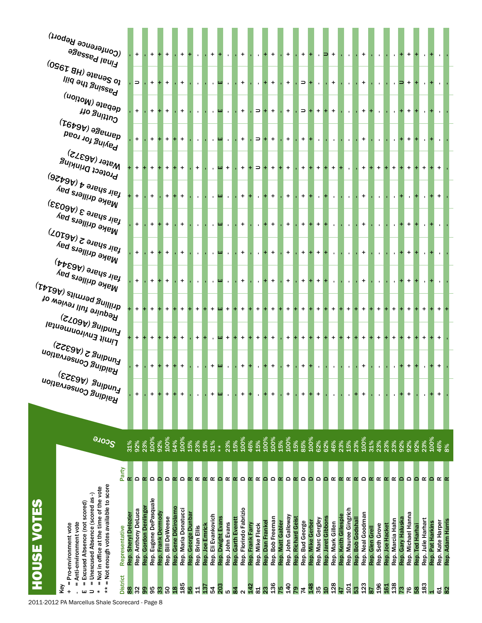| (Conference Report)<br>agessed leuid<br>$^{(0 \mbox{S}67\mbox{ }BH) \mbox{ } }$ ə $^{10}$ elə $^{0}$<br>Passing the bill<br><sub>debate (Motion)</sub><br><b>Ho Suitivo</b><br>${}^{(T6b9b)}$ əseulep<br>Paying for road<br>$W_{\text{after}}(\text{AG3}\text{yz})$                    |                      | $+$<br>$\Rightarrow$<br>$+$<br>$\ddot{}$ |                       | $+$<br>$+$<br>$+$      |                    | $+$<br>$\ddot{}$       | $+$<br>$\ddot{}$<br>$\ddot{}$<br>$\ddot{}$          |                    | $\mathbf{r}$<br>$\mathbf{r}$<br>$\mathbf{r}$<br>$\mathbf{L}$ |                 | $+$<br>$\mathbf{r}$<br>$\mathbf{r}$ | ш<br>ш<br>ш.      | $\mathbf{L}$<br>$\mathbf{u}$<br>$\mathbf{u}$ |                    | $\ddot{}$<br>$\ddot{}$<br>$\ddot{}$<br>$\ddot{}$ | $\mathbf{r}$<br>$\mathbf{r}$<br>$\Rightarrow$ | $+$<br>$+$<br>$+$<br>$\Rightarrow$ + | $+$<br>$+$<br>$\ddot{}$<br>$+$ |                  | $+$<br>$\ddot{}$<br>$\ddot{}$<br>$\ddot{}$ |                                       | $+$<br>$\Rightarrow$ +<br>$\Rightarrow$ +<br>$+$ + | $\mathbf{r}$<br>$\mathbf{r}$<br>+<br>$\mathbf{L}$ |                    | $\Rightarrow$ +<br>$+$<br>$\ddot{}$<br>$\mathbf{L}$ |                      | $\mathbf{L}$<br>$\mathbf{L}$<br>$\mathbf{r}$<br>$\mathbf{L}$ |                   | $+$<br>$+$<br>$+$<br>$\ddot{}$ |                         | $\mathbf{r}$<br>$\mathbf{r}$ | $\mathbf{r}$                        |                   | +<br>$+$<br>+<br>+ |                 |                           |                  |                          |                  |
|----------------------------------------------------------------------------------------------------------------------------------------------------------------------------------------------------------------------------------------------------------------------------------------|----------------------|------------------------------------------|-----------------------|------------------------|--------------------|------------------------|-----------------------------------------------------|--------------------|--------------------------------------------------------------|-----------------|-------------------------------------|-------------------|----------------------------------------------|--------------------|--------------------------------------------------|-----------------------------------------------|--------------------------------------|--------------------------------|------------------|--------------------------------------------|---------------------------------------|----------------------------------------------------|---------------------------------------------------|--------------------|-----------------------------------------------------|----------------------|--------------------------------------------------------------|-------------------|--------------------------------|-------------------------|------------------------------|-------------------------------------|-------------------|--------------------|-----------------|---------------------------|------------------|--------------------------|------------------|
| Protect Drinking<br>$\epsilon_{\rm g}$ lie zymbre 4 (A6426)<br><sup>Make drillers</sup> pay<br>$_{\rm f\ddot{a}h}$ share 3 (A6033)                                                                                                                                                     |                      | $+$<br>$\ddot{}$                         |                       | $+$<br>$+$             |                    | $+$<br>$+$             | $\ddot{}$<br>$\ddot{}$                              |                    | $\ddot{}$<br>$\mathbf{r}$                                    |                 |                                     | ш +<br>ш          | $\mathbf{u}$                                 |                    | $\ddot{}$<br>$+$                                 | $\Rightarrow$<br>$+$<br>$\mathbf{r}$          | $+$<br>$+$                           | $\ddot{}$<br>$+$               |                  | $\ddot{}$<br>$\ddot{}$                     | $+$                                   | $+$ $+$                                            | $\ddot{}$<br>$\mathbf{r}$                         |                    | $\ddot{}$                                           |                      | $\mathbf{L}$                                                 |                   | $+$<br>$+$                     |                         | $\ddot{}$                    | $\ddot{}$                           |                   | $+$                |                 |                           |                  |                          |                  |
| <sup>Make drillers</sup> pay<br>$\omega_{\rm I}$ air $\omega_{\rm I}$ ang S $\omega_{\rm O}$<br>Make drillers pay<br><sup>fair share (A6344)</sup>                                                                                                                                     |                      | $+$<br>$\ddot{}$                         |                       | $+$<br>$+$             |                    | $\ddot{}$<br>$\ddot{}$ | +<br>$\ddot{}$                                      |                    | $\mathbf{r}$<br>$\mathbf{r}$                                 |                 |                                     | ш<br>ш            | $\mathbf{L}$<br>$\mathbf{L}$                 |                    | $\ddot{}$<br>$\ddot{}$                           | $\mathbf{r}$<br>$\mathbf{r}$                  | $+$<br>$+$                           | $\ddot{}$<br>$+$               |                  | $\ddot{}$<br>$\ddot{}$                     |                                       | $+$<br>$+$                                         | $\ddot{}$<br>$\ddot{}$                            |                    |                                                     |                      | $\mathbf{r}$<br>$\mathbf{r}$                                 |                   | $\ddot{}$<br>$+$               |                         |                              |                                     |                   | +                  |                 |                           |                  |                          |                  |
| Make drillers pay<br>$\tau_{\rm{t}}$ ariling permits (A $\epsilon_{\rm{t}}$<br>Require full review of<br><sub>لـMul</sub> ng (۱۹۵۳)<br>רוֹוֹו <sup>ֹן</sup> בּוֹו <sup>ֹוֹוֹסוּווּסוּו<sup>פּון פּו</sup></sup>                                                                        |                      | $\ddot{}$<br>$+$                         |                       | $+$<br>$+$             |                    |                        | $\ddot{}$<br>$\ddot{}$                              |                    | $\mathbf{r}$<br>$+$                                          |                 | $\ddot{}$                           | ш<br>ш +          | $\mathbf{u}$                                 | $\pm$              | $\ddot{}$<br>$\ddot{}$                           | $\mathbf{r}$<br>$+$                           | $+$<br>÷.                            | $+$<br>$\ddot{}$               |                  | $\ddot{}$<br>$\ddot{}$                     | $+$                                   | $+$ $+$                                            | $+$<br>$\ddot{}$                                  |                    | $\ddot{}$                                           |                      | $\mathbf{L}$<br>$+$                                          |                   | $+$<br>$+$                     |                         | $\ddot{}$                    | $\ddot{}$                           |                   | +<br>$\ddot{}$     |                 |                           |                  |                          |                  |
| $_{\rm{Equulus\,5}}^{(\rm{ke355})}$<br><b>Raiding Conservation</b><br><sub>Linding (A6323)</sub><br><sup>Funding Conservation</sup>                                                                                                                                                    |                      | $\ddot{}$<br>$\ddot{}$                   |                       | $\ddot{}$              |                    | $\ddot{}$              | $\ddot{}$<br>+                                      |                    | $+$<br>$\mathbf{r}$                                          |                 | $\ddot{}$                           | ш +<br>ш          | $\mathbf{L}$                                 | $+$                | $\ddot{}$<br>$\ddot{}$                           | $+$<br>$\mathbf{r}$                           | $+$<br>$\pm$                         | $+$<br>$\ddot{}$               |                  | $\ddot{}$<br>$\ddot{}$                     | $+$<br>$\ddot{}$                      | $+$                                                | $\ddot{}$<br>$\mathbf{I}$                         |                    | $\ddot{}$<br>$\mathbf{L}$                           |                      | $+$<br>$\mathbf{L}$                                          |                   | $\ddot{}$<br>+                 |                         | $\ddot{}$<br>$\mathbf{r}$    | $\ddot{}$<br>$\mathbf{r}$           |                   | $\ddot{}$<br>+     |                 |                           |                  |                          |                  |
|                                                                                                                                                                                                                                                                                        |                      | +                                        |                       | $\ddot{}$              | ٠                  | +                      | +                                                   |                    | $\blacksquare$                                               |                 | +                                   | ш                 | $\blacksquare$                               |                    | +                                                | $\mathbf{r}$                                  | ÷                                    | +                              |                  | +                                          | +                                     |                                                    | $\ddot{}$                                         |                    | $\blacksquare$                                      |                      | $\blacksquare$                                               |                   | +                              |                         | $\blacksquare$               | $\mathbf{r}$                        |                   | +                  |                 |                           |                  | +                        |                  |
| <b>BLOTE</b><br>Party                                                                                                                                                                                                                                                                  | 31%                  | 92%<br>$\Omega$                          | 23%<br>$\propto$      | 100%<br>$\Omega$       | 92%<br>≏           | 100%<br>$\Omega$       | 100%<br>54%<br>$\Omega$<br>$\alpha$                 | 15%<br>œ           | 23%<br>œ                                                     | 15%<br>α        | $31%$<br>**<br>$\alpha$             | $\Omega$          | 23%<br>œ                                     | 15%<br>$\alpha$    | 100%<br>$\Omega$                                 | 15%<br>46%<br>œ<br>$\propto$                  | 100%<br>$\Omega$                     | 100%<br>$\mathbf \Omega$       | 15%<br>$\propto$ | 100%<br>$\Omega$                           | 15%<br>85%<br>$\Omega$<br>$\propto$   | 100%<br>$\Omega$                                   | 62%<br>$\Omega$                                   | 62%<br>$\Omega$    | 46%<br>$\alpha$                                     | 23%<br>œ             | 15%<br>$\alpha$                                              | 23%<br>$\propto$  | 100%<br>$\Omega$               | 31%<br>23%<br>$\propto$ | 23%<br>œ                     | 23%<br>œ<br>œ                       | 92%<br>≏          | 92%<br>$\Omega$    | 92%<br>$\Omega$ | 23%<br>œ                  | 100%<br>≏        | 46%<br>$\propto \propto$ | 8%               |
| = Not enough votes available to score<br>= Not in office at the time of the vote<br>Unexcused Absence (scored as-)<br>HOUSE VOTES<br>= Excused Absence (not scored)<br>Anti-environment vote<br>= Pro-environment vote<br>Representative<br><b>District</b><br>$\mathbf I$<br>Ш<br>Key | Rep. Sheryl Delozier | Rep. Anthony DeLuca                      | Rep. Gordon Denlinger | Rep. Eugene DePasquale | Rep. Frank Dermody | Rep. Bill DeWeese      | Rep. Gene DiGirolamo<br>Rep. Maria Donatucci<br>185 | Rep. George Dunbar | Rep. Brian Ellis                                             | Rep. Joe Emrick | Rep. Eli Evankovich                 | Rep. Dwight Evans | Rep. John Evans                              | Rep. Garth Everett | Rep. Florindo Fabrizio                           | Rep. Frank Farry<br>Rep. Mike Fleck           | Rep. Dan Frankel                     | Rep. Bob Freeman               | Rep. Matt Gabler | Rep. John Galloway                         | Rep. Richard Geist<br>Rep. Bud George | Rep. Mike Gerber                                   | Rep. Marc Gergley                                 | Rep. Jaret Gibbons | Rep. Mark Gillen<br>128                             | Rep. Keith Gillespie | Rep. Mauree Gingrich                                         | Rep. Bob Godshall | Rep. Neal Goodman              | Rep. Glen Grell         | Rep. Seth Grove              | Rep. Marcia Hahn<br>Rep. Joe Hacket | Rep. Gary Haluska | Rep. Michael Hanna | Rep. Ted Harhai | Rep. Julie Harhart<br>183 | Rep. Pat Harkins | Rep. Kate Harper         | Rep. Adam Harris |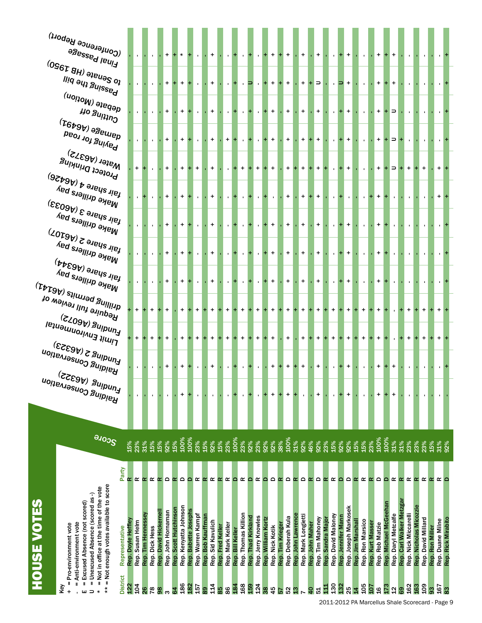| (Conference Report)<br>agessed leui <sup>1</sup><br>$^{(0$ 967 8H) ə $_{\rm{Je}\mu_{\rm{B}}S\,o_{\rm{J}}}$                                                                   |                                       |                    |                |                      | $\ddot{}$              |                       | $\star$               |                      | $\mathbf{r}$                 | $+$                                    |                  | $\mathbf{L}_{\rm{c}}$     |                  | $\mathbf{L}$                 |                    | $\mathbf{L}$                 |                    | $+$             | $+$              | $\ddot{}$         |                    | $+$                 |                                     | $+$               | $\mathbf{L}$       |                    | $+$ +                     |                   | $\mathbf{r}$     |                  | $+$             |                       | $\ddot{}$                                                   |                      |                        |                    |                 |                  |                    |
|------------------------------------------------------------------------------------------------------------------------------------------------------------------------------|---------------------------------------|--------------------|----------------|----------------------|------------------------|-----------------------|-----------------------|----------------------|------------------------------|----------------------------------------|------------------|---------------------------|------------------|------------------------------|--------------------|------------------------------|--------------------|-----------------|------------------|-------------------|--------------------|---------------------|-------------------------------------|-------------------|--------------------|--------------------|---------------------------|-------------------|------------------|------------------|-----------------|-----------------------|-------------------------------------------------------------|----------------------|------------------------|--------------------|-----------------|------------------|--------------------|
| Passing the bill<br><sub>debate (Motion)</sub>                                                                                                                               |                                       |                    |                |                      | $\ddot{}$              |                       | $\ddot{}$             |                      | $\mathbf{r}$                 | $\ddot{}$                              |                  | $\mathbf{L}$              |                  | $\mathbf{u}$                 | ∍                  | $\mathbf{r}$                 |                    | $+$             | $+$              | $+$               |                    | $+$                 | $\Rightarrow$                       |                   |                    |                    | $\cdot$ $\Rightarrow$ $+$ |                   |                  |                  | $+$             |                       | $\ddot{}$                                                   |                      |                        |                    |                 |                  |                    |
| <b>Ho Suitiu<sup>O</sup></b><br>${}^{(T6b9b)}$ əseurep<br>Paying for road                                                                                                    |                                       |                    |                |                      | $\ddot{}$<br>$\ddot{}$ |                       | +<br>$\ddot{}$        |                      | $\mathbf{r}$<br>$\mathbf{r}$ | $\ddot{}$<br>$\ddot{}$                 |                  | $\mathbf{L}$<br>$+$       | $+$              | $\mathbf{r}$<br>$\mathbf{L}$ |                    | $\mathbf{r}$<br>$\mathbf{r}$ |                    | $+$<br>$+$      |                  | $+$<br>$+$        |                    | $+$<br>$+$          | $\ddot{}$                           | $\ddot{}$         | $\mathbf{r}$ .     |                    | $+$ +<br>$+$ +            |                   |                  |                  | $+$<br>$+$      |                       | $\Rightarrow$<br>$\Rightarrow$                              |                      |                        |                    |                 |                  |                    |
| Water (A6372)<br>Protect Drinking                                                                                                                                            | $+$                                   |                    |                |                      | $\ddot{}$              |                       | +                     |                      | $+$                          | $\ddot{}$                              |                  |                           |                  | $+$                          |                    | $\ddot{}$                    |                    | $\ddot{}$       |                  | $\ddot{}$         |                    | $\ddot{}$           | $\ddot{}$                           |                   | $\mathbf{r}$       |                    | $\ddot{}$                 |                   |                  |                  | $+$             |                       | $\Rightarrow$                                               | $\ddot{}$            |                        | $\ddot{}$          |                 |                  |                    |
| <sub>tair share 4 (A6426)</sub><br>Make drillers pay                                                                                                                         |                                       |                    |                |                      | $\ddot{}$              |                       | +                     |                      | $\mathbf{r}$                 | $\ddot{}$                              |                  | $\mathbf{L}$              |                  | $\mathbf{u}$                 |                    | $\mathbf{r}$                 |                    | $\mathbf{L}$    |                  | $\ddot{}$         |                    | $\ddot{}$           | $\ddot{}$                           |                   | $\mathbf{r}$       |                    | $\mathbf{r}$              |                   |                  |                  | $+$             |                       |                                                             |                      |                        |                    |                 |                  |                    |
| $_{\mathfrak{f}^{\mathfrak{gl}_\mathbf{k}}$ share 3 (A6033)<br>Make drillers pay                                                                                             |                                       |                    |                |                      | $\ddot{}$              |                       | +                     |                      | $\mathbf{r}$                 | $\ddot{}$                              |                  | $\mathbf{L}$              |                  | $\mathbf{r}$                 |                    | $\mathbf{r}$                 |                    | $+$             |                  | $\ddot{}$         |                    | $+$                 | $\ddot{}$                           |                   |                    |                    | $+$                       |                   |                  |                  | $+$             |                       |                                                             |                      |                        |                    |                 |                  |                    |
| $\omega_{\rm I}$ air $\omega_{\rm I}$ ang S $\omega_{\rm O}$<br>Make drillers pay                                                                                            |                                       |                    |                |                      | $\ddot{}$              |                       | +                     |                      | $\mathbf{r}$                 | $\ddot{}$                              |                  | $\mathbf{L}$              |                  | $\mathbf{r}$                 |                    | $\mathbf{r}$                 |                    | $+$             |                  | $+$               |                    | $+$                 | $\ddot{}$                           |                   |                    |                    | $+$                       |                   |                  |                  | $+$             |                       |                                                             |                      |                        |                    |                 |                  |                    |
| $^{\dagger}$ air share (A6344)<br>Make drillers pay<br>$\tau_{\rm{t}}$ ariling permits (A $\rm{e}$ 141)                                                                      |                                       |                    |                |                      | $\ddot{}$              |                       | $\ddot{}$             |                      | $\mathbf{r}$                 | $+$                                    |                  | $\mathbf{L}$              | $+$              | $\mathbf{L}$                 |                    | $\mathbf{r}$                 |                    | $+$             |                  | $+$               |                    | $+$                 | $\ddot{}$                           |                   |                    |                    | $+$ +                     |                   |                  |                  | $+$             |                       |                                                             |                      |                        |                    |                 |                  |                    |
| Require full review of<br><b>Lunding</b> (A6072)                                                                                                                             | $\ddot{}$                             |                    | $+$            |                      | $\ddot{}$              |                       | $\ddot{}$             |                      | $+$                          | $\ddot{}$                              |                  | $+$                       | $\pm$            | $+$                          |                    | $\ddot{}$                    |                    | $\ddot{}$       | ÷                | $\ddot{}$         |                    | $\ddot{}$           | $\ddot{}$                           |                   | $+$                |                    | $\ddot{}$                 |                   | $\ddot{}$        |                  | $+$             |                       |                                                             | $\ddot{}$            |                        |                    |                 |                  |                    |
| רוֹוֹו <sup>ֹן</sup> בּוֹו <sup>וֹוֹסו</sup> ּו <sup>וֹם</sup> (I <sup>g</sup> luə<br>$_{\rm{Lnuging\,5\,(ke353)}}$                                                          | $\ddot{}$                             |                    |                |                      | $+$                    |                       | $\ddot{}$             |                      | $+$                          | $\ddot{}$                              |                  | $\ddot{}$                 | $\pm$            | $\ddot{}$                    |                    | $\ddot{}$                    |                    | $\ddot{}$       |                  | $+$               |                    | $+$                 | $\ddot{}$                           |                   | $+$                |                    | $\ddot{}$                 |                   | $\ddot{}$        |                  | $+$             |                       |                                                             | $\ddot{}$            |                        |                    |                 |                  |                    |
| <b>Raiding Conservation</b><br><sub>Hunding (A6322)</sub><br>Funding Conservation<br><sup>Raidin</sup> g Conservation                                                        |                                       |                    |                |                      | $\ddot{}$              |                       | +                     |                      | $\mathbf{r}$                 |                                        | +                | $\mathbf{L}_{\mathrm{c}}$ | $+$              | $\mathbf{H}$                 |                    | $\mathbf{L}$                 |                    | $\ddot{}$       | ÷                | $\ddot{}$         | $+$                | $+$                 |                                     | +                 | $\mathbf{r}$       | $\pm$              | +                         |                   |                  |                  | $\ddot{}$       |                       | +                                                           |                      |                        |                    |                 | $\overline{1}$   |                    |
|                                                                                                                                                                              | $\blacksquare$                        |                    | $\mathbf{I}$   |                      | $\blacksquare$         |                       | +                     |                      | $\mathbf{r}$                 |                                        | $\mathbf{I}$     | $\blacksquare$            | ÷                | $\blacksquare$               |                    | $\mathbf{r}$                 |                    | $\ddot{}$       | +                | +                 |                    | $\blacksquare$      | +                                   |                   | $\mathbf{r}$       | $\ddot{}$          | +                         |                   | $\mathbf{I}$     |                  | +               |                       | +                                                           | $\blacksquare$       |                        | $\blacksquare$     |                 |                  |                    |
| <b>SCOTE</b>                                                                                                                                                                 | 15%<br>23%                            | 31%                | 15%            | 15%                  | 92%                    | 15%                   | 100%                  | 100%                 | 23%                          | 92%<br>15%                             | 15%              | 23%                       | 100%             | 23%                          | 92%                | 23%                          | 92%                | 92%             | 38%              | 100%              | 31%                | 92%                 | 46%<br>92%                          | 23%               | 15%                | 92%                | 92%                       | 15%               | 15%              | 23%              | 100%            | 100%                  | 31%<br>31%                                                  | 23%                  | 23%                    | 23%                | 15%             | 31%              | 92%                |
| Party                                                                                                                                                                        |                                       |                    |                |                      |                        |                       |                       |                      |                              |                                        |                  |                           |                  |                              |                    |                              |                    |                 |                  |                   |                    |                     |                                     |                   |                    |                    |                           |                   |                  |                  |                 |                       |                                                             |                      |                        |                    |                 |                  |                    |
|                                                                                                                                                                              | Œ                                     |                    | œ              | œ                    | $\Omega$               | œ                     | $\Omega$              | $\mathbf{\Omega}$    | Œ                            | $\propto$<br>$\alpha$                  | $\propto$        | œ                         | $\Omega$         | œ                            | $\mathbf{\Omega}$  | œ                            | $\Omega$           | $\Omega$        | $\alpha$         | $\Omega$          | $\propto$          | $\Omega$            | $\Omega$<br>$\alpha$                | $\alpha$          | œ                  | $\Omega$           | $\Omega$                  | $\alpha$          | œ                | $\propto$        | $\Omega$        | ۵                     | œ<br>$\alpha$                                               | œ                    | œ                      | $\alpha$           | $\alpha$        | œ                |                    |
| = Not enough votes available to score<br>= Not in office at the time of the vote<br>= Unexcused Absence (scored as-)<br><b>HOUSE VOTES</b><br>= Excused Absence (not scored) |                                       |                    |                | Rep. David Hickernel | Rep. John Hornaman     | Rep. Scott Hutchinson | Rep. Kenyatta Johnson | Rep. Babette Josephs |                              |                                        |                  |                           |                  |                              |                    |                              |                    |                 |                  |                   |                    |                     |                                     |                   |                    |                    | Rep. Joseph Markosek      |                   |                  |                  |                 | Rep. Michael McGeehan | Rep. Carl Walker Metzgar                                    |                      | Rep. Nicholas Micozzie |                    |                 |                  |                    |
| = Anti-environment vote<br>= Pro-environment vote<br>Representative                                                                                                          | Rep. Doyle Heffley<br>Rep. Susan Helm | Rep. Tim Hennessey | Rep. Dick Hess |                      |                        |                       |                       |                      | Rep. Warren Kampf            | Rep. Bob Kauffman<br>Rep. Sid Kavulich | Rep. Fred Keller | Rep. Mark Keller          | Rep. Bill Keller | Rep. Thomas Killion          | Rep. Thad Kirkland | Rep. Jerry Knowles           | Rep. William Kortz | Rep. Nick Kotik | Rep. Tim Krieger | Rep. Deberah Kula | Rep. John Lawrence | Rep. Mark Longietti | Rep. Tim Mahoney<br>Rep. John Maher | Rep. Sandra Major | Rep. David Maloney | Rep. Jennifer Mann |                           | Rep. Jim Marshall | Rep. Ron Marsico | Rep. Kurt Masser | Rep. Rob Matzie |                       | Rep. Daryl Metcalfe                                         | Rep. Nick Miccarelli |                        | Rep. David Millard | Rep. Ron Miller | Rep. Duane Milne | Rep. Rick Mirabito |
| <b>District</b><br>Key<br>$\ast$<br>$\ddot{}$                                                                                                                                | $\frac{4}{10}$<br>122                 | 26                 | 78             | 8                    | ო                      | 64                    | 186                   | 182                  | 157                          | 14<br>89                               | 85               | 86                        | 184              | 168                          | 159                | 124                          | 38                 | 45              | 29               | ι3                | $\frac{3}{2}$      |                     | $\overline{a}$<br>rg                | <u>다</u>          | 130                | 132                | 25                        | $\overline{4}$    | 105              | 50               | $\frac{6}{1}$   | 173                   | စ္ပ<br>2<br>2011-2012 PA Marcellus Shale Scorecard - Page 9 | 162                  | 163                    | eot                | 93              | 167              | 83                 |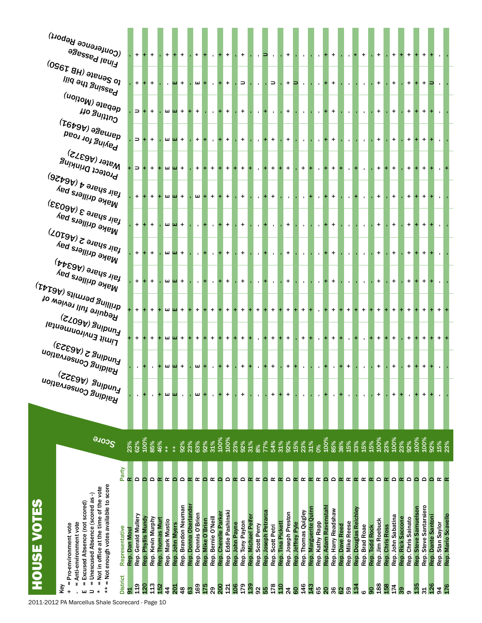|                   | $^{(0 \mbox{S}67\,BH)}$ ə $_{\rm{Je} \mu_{\rm{B}} S \, o_{\rm{J}}}$<br>Passing the bill<br><sup>debate (Motion)</sup><br><b>Ho Suitiug</b><br>${}^{(T6b9b)}$ ə $s_{\mathsf{B} \cup \mathsf{U} \mathsf{P} \mathsf{p}}$                        | $+$<br>$\Box$       |                    | $\ddot{}$<br>$+$  |                  |                                     | $\mathbf{u}$ +<br>шш +                   |                       | $\mathbf{m}$ +<br>$+$ |                   | $+$ + $+$           | $+$                  | $\ddot{}$              | $\Rightarrow$<br>$\ddot{}$          |                    | $\mathbf{r}$<br>$\mathbf{L}$ | $\cdot$ $\Rightarrow$<br>$+$ | $\mathbf{r}$                          | $\ddot{}$                 | $+$ $\Box$        | $\mathbf{u}$<br>$\mathbf{r}$ | $\mathbf{r}$<br>$\mathbf{r}$             |                     | $+$<br>$+$          |                |                 |                       |                                  | $+$<br>$+$        |                 | $\ddot{}$<br>$\ddot{}$ |                   | $+$<br>$+$         |                      | $+$<br>$+$             | ∍                  |                  |                     |
|-------------------|----------------------------------------------------------------------------------------------------------------------------------------------------------------------------------------------------------------------------------------------|---------------------|--------------------|-------------------|------------------|-------------------------------------|------------------------------------------|-----------------------|-----------------------|-------------------|---------------------|----------------------|------------------------|-------------------------------------|--------------------|------------------------------|------------------------------|---------------------------------------|---------------------------|-------------------|------------------------------|------------------------------------------|---------------------|---------------------|----------------|-----------------|-----------------------|----------------------------------|-------------------|-----------------|------------------------|-------------------|--------------------|----------------------|------------------------|--------------------|------------------|---------------------|
|                   | Paying for road<br>Water (A6372)<br>Protect Drinking                                                                                                                                                                                         | $\Box$              | $\Rightarrow$ +    | $+$<br>$+$        |                  |                                     | шш +<br>$+$ $+$ $+$                      |                       | $+$<br>$\ddot{}$      |                   | $\mathbf{L}$<br>$+$ | $+$ +<br>$+$         | $\ddot{}$              | $\ddot{}$<br>$\ddot{}$              |                    |                              | $+$<br>$+$                   | $+$<br>$+$<br>$+$                     | $+$<br>$+$                |                   | $\mathbf{L}$<br>$+$          | $\mathbf{r}$<br>$\mathbf{r}$             |                     | $+$<br>$+$          |                |                 |                       |                                  | $+$<br>$\ddot{}$  |                 | $\ddot{}$<br>$\ddot{}$ |                   | $\ddot{}$<br>$+$   |                      | $+$<br>$+$             |                    |                  |                     |
|                   | $\epsilon_{\rm g}$ lie zymbre 4 (A6426)<br>Make drillers pay<br>$_{\rm 191}^{\rm 181}$ share 3 (A6033)<br><sup>Make drillers</sup> pay                                                                                                       |                     |                    | $+$               |                  |                                     | $m$ $m +$<br>$\mathbf{u}$ $\mathbf{u}$ + |                       | $\mathbf{r}$          | $\mathbf{m}$ +    | $+$                 | $+$<br>$+$           | $\ddot{}$<br>$\ddot{}$ | $\ddot{}$<br>$\ddot{}$              |                    | $\mathbf{r}$<br>$\mathbf{L}$ | $+$<br>$+$                   | $\ddot{}$<br>$\mathbf{r}$             | $\mathbf{r}$<br>$\ddot{}$ |                   | $\mathbf{L}$<br>$\mathbf{r}$ | $\mathbf{r}$<br>$\mathbf{r}$             |                     | $+$<br>$+$          |                |                 |                       |                                  | $+$<br>$+$        |                 | $\ddot{}$<br>$\ddot{}$ |                   | $\ddot{}$<br>$+$   |                      | $+$<br>$+$             |                    |                  |                     |
|                   | $\omega_{\rm s}$ allergy) $\omega_{\rm s}$<br><sup>Make drillers</sup> pay<br><sup>fair share (A6344)</sup>                                                                                                                                  |                     |                    | $+$               |                  |                                     | $\mathbf{u}$ $\mathbf{u}$ +              |                       | $\mathbf{r}$          |                   |                     | $+$                  | $\ddot{}$              | $\ddot{}$                           |                    | $\mathbf{L}$                 | $+$                          | $\mathbf{r}$                          | $\ddot{}$                 |                   | $\mathbf{r}$                 | $\mathbf{r}$                             |                     | $+$                 |                |                 |                       |                                  | $+$               |                 | $\ddot{}$              |                   | $\ddot{}$          |                      | $+$                    |                    |                  |                     |
|                   | Make drillers pay<br>$\tau_{\rm F10}$ ariling permits (A $_{\rm 544J}$<br>Require full review of<br><sub>لـMul</sub> ng (۱۹۵۳)                                                                                                               |                     |                    | $+$               |                  |                                     | $\mathbf{u}$ $\mathbf{u}$ +<br>$m$ $m +$ |                       | $\mathbf{r}$<br>$+$   |                   | $+$                 | $+$<br>$+$           | $\ddot{}$<br>$\ddot{}$ | $\ddot{}$<br>$\ddot{}$              |                    | $\mathbf{L}$<br>$+$          | $\pm$<br>$\ddot{}$           | $\mathbf{r}$<br>$\ddot{}$<br>$+$      | $+$<br>$\ddot{}$          |                   | $\mathbf{r}$<br>$+$          | $\mathbf{r}$<br>$\mathbf{I}$             |                     | $+$<br>$\ddot{}$    |                | $+$             |                       | $\ddot{}$                        | $\ddot{}$<br>$+$  |                 | $\ddot{}$<br>$+$       |                   | $\ddot{}$<br>$+$   |                      | $+$                    |                    | $+$              |                     |
|                   | רושונ בוועורסוו <sub>וח</sub> פוופן<br>רוויונ                                                                                                                                                                                                |                     |                    |                   |                  |                                     | $+$ $+$ $+$                              |                       | $+$                   |                   | $+$                 | $+$                  | $\ddot{}$              | $\ddot{}$                           |                    |                              | $+$                          | $+$<br>$+$                            | $+$                       |                   | $+$                          | $\mathbf{r}$                             |                     | $+$                 |                |                 |                       |                                  | $+$               |                 | $\ddot{}$              |                   | $\ddot{}$          |                      | $+$                    |                    | $+$              |                     |
|                   | $_{\rm{Ln}^{10}N_{\rm{B}}}$ 2 (46323)                                                                                                                                                                                                        |                     |                    |                   |                  |                                     | + шш +                                   |                       | ш                     |                   | $\mathbf{r}$        | $+$                  | $\ddot{}$              | $\bf{+}$                            |                    | $\mathbf{r}$                 | $\ddot{}$                    | $\ddot{}$                             | $\ddot{}$                 |                   | $\mathbf{r}$                 | $\mathbf{r}$                             |                     | $\mathbf{r}$        |                | $\ddot{}$       |                       |                                  | $\ddot{}$         |                 | +                      |                   | $\ddot{}$          |                      | $\ddot{}$              |                    |                  |                     |
|                   | <b>Haiding Conservation</b><br><b>Funding (A6322)</b><br>Funding Conservation                                                                                                                                                                | $\mathbf{r}$        |                    |                   |                  | ш<br>ш                              | $\blacksquare$                           |                       | ш                     |                   |                     | ÷                    | $\ddot{}$              | +                                   |                    |                              |                              | +                                     | +                         |                   | $\mathbf{I}$                 | $\mathbf{I}$                             |                     | $\blacksquare$      |                |                 |                       | $\blacksquare$                   | $\ddot{}$         |                 | +                      | +                 |                    |                      | +                      |                    |                  |                     |
|                   | <b>SCOTE</b><br>23%                                                                                                                                                                                                                          | 62%                 | 100%               | 85%               | 46%<br>$*$       | $*$                                 | 92%                                      | 23%                   | 63%                   | 92%               | 31%                 | 100%                 | 100%                   | 23%<br>92%                          | 31%                | 8%                           | 77%<br>54%                   | 31%                                   | 92%                       | 15%               | 23%                          | 31%<br>$\mathbf{O}^{\otimes 0}$          | 100%                | 85%                 | 38%            | 15%             | 33%                   | 15%<br>15%                       | 100%              | 23%             | 100%                   | 23%               | 92%                | 100%                 | 100%                   | 92%                | 15%<br>23%       |                     |
|                   | Party<br>œ                                                                                                                                                                                                                                   | $\Omega$            | $\Omega$           | $\Omega$          | œ                | œ<br>$\mathbf{\Omega}$              | $\Omega$                                 | œ                     | $\propto$             | $\mathbf{\Omega}$ | œ                   | $\Omega$             | $\Omega$               | $\Omega$<br>$\alpha$                | $\propto$          | œ                            | $\Omega$                     | œ<br>$\alpha$                         | $\Omega$                  | $\propto$         | œ                            | œ<br>$\alpha$                            | $\Omega$            | $\Omega$            | $\propto$      | $\propto$       | $\alpha$              | œ                                | $\alpha$ $\alpha$ | œ               | $\Omega$               | $\alpha$          | $\Omega$           | $\Omega$             | $\Omega$               | $\Omega$           | œ                |                     |
| <b>OUSE VOTES</b> | = Not enough votes available to score<br>= Not in office at the time of the vote<br>= Unexcused Absence (scored as-)<br>Excused Absence (not scored)<br>= Anti-environment vote<br>= Pro-environment vote<br>Representative<br>Rep. Dan Moul | Rep. Gerald Mullery | Rep. Phyllis Mundy | Rep. Kevin Murphy | Rep. Thomas Murt | Rep. Mark Mustio<br>Rep. John Myers | Rep. Brandon Neuman                      | Rep. Donna Oberlander | Rep. Dennis O'Brien   | Rep. Mike O'Brien | Rep. Bernie O'Neill | Rep. Cherelle Parker | Rep. Eddie Pashinski   | Rep. Tony Payton<br>Rep. John Payne | Rep. Michael Peife | Rep. Scott Perry             | Rep. Joseph Petrarca         | Rep. Tina Pickett<br>Rep. Scott Petri | Rep. Joseph Preston       | Rep. Jeffrey Pyle | Rep. Thomas Quigley          | Rep. Marguerite Quinn<br>Rep. Kathy Rapp | Rep. Adam Ravenstah | Rep. Harry Readshaw | Rep. Dave Reed | Rep. Mike Reese | Rep. Douglas Reichley | Rep. Brad Roae<br>Rep. Todd Rock | Rep. Jim Roebuck  | Rep. Chris Ross | Rep. John Sabatina     | Rep. Rick Saccone | Rep. Chris Sainato | Rep. Steve Samuelson | Rep. Steve Santarsiero | Rep. Dante Santoni | Rep. Stan Saylor | Rep. Mario Scavello |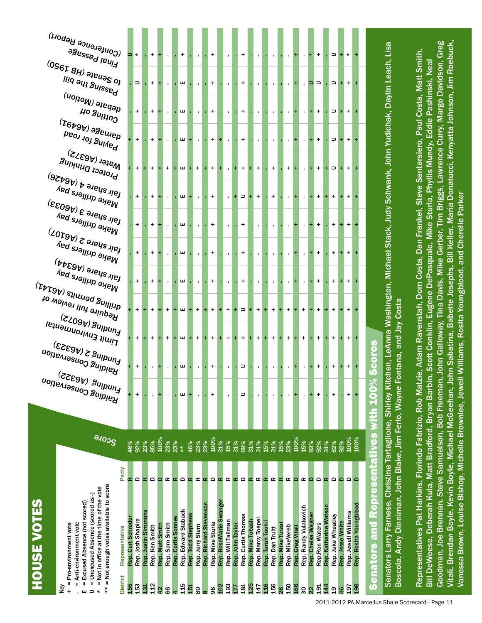|                                                         | <b>HOUSE VOTES</b>                                                                                                                                                                                                                |           |              |                                                                   |                                                              |                                                           |                                                                             |                                                     |                                                    |                                                                                                                                                     |                                                                          |                                         |                                                                                                    |                                                                                                                                        |                                                                  |                     |
|---------------------------------------------------------|-----------------------------------------------------------------------------------------------------------------------------------------------------------------------------------------------------------------------------------|-----------|--------------|-------------------------------------------------------------------|--------------------------------------------------------------|-----------------------------------------------------------|-----------------------------------------------------------------------------|-----------------------------------------------------|----------------------------------------------------|-----------------------------------------------------------------------------------------------------------------------------------------------------|--------------------------------------------------------------------------|-----------------------------------------|----------------------------------------------------------------------------------------------------|----------------------------------------------------------------------------------------------------------------------------------------|------------------------------------------------------------------|---------------------|
| I<br>Key                                                | Anti-environment vote<br>= Pro-environment vote                                                                                                                                                                                   |           |              |                                                                   |                                                              |                                                           |                                                                             |                                                     |                                                    |                                                                                                                                                     |                                                                          |                                         |                                                                                                    |                                                                                                                                        |                                                                  |                     |
| $\ast$<br>ш                                             | = Not enough votes available to score<br>= Not in office at the time of the vote<br>= Unexcused Absence (scored as-)<br>= Excused Absence (not scored)                                                                            |           | <b>SCOTE</b> | <b>Funding (A6322)</b><br>Funding (A6322)<br>Raiding Conservation | $_{\rm{Lnuging\,5\,(ke353)}}$<br><b>Haiding Conservation</b> | <sub>لـMul</sub> ng (۳۹۵۷ج)<br><b>Limit Environmental</b> | $\tau_{\rm{t}}$ arilling permits (A $\rm{e}$ 141)<br>Require full review of | $^{\dagger}$ air share (A6344)<br>Make drillers pay | $\epsilon_{\rm{NBS}}$ (A6107)<br>Make drillers pay | Make drillers pay<br>$\epsilon_{\rm{B}}$ ir share 3 (A6033)<br><sup>Make drillers</sup> pay                                                         | Protect Drinking<br>$\epsilon_{\rm gijk}$ and $\epsilon_{\rm d}$ (A6426) | <b>Paying for road</b><br>Water (A6372) | <sup>debate (Motion)</sup><br><b>Ho Suitiu<sup>O</sup></b><br>${}^{(T6b9b)}$ ə $\bar{s}$ e $u$ lep | lliq əy <sub>i Suissed</sub>                                                                                                           | <b>PRESSED IBULLS</b><br>$^{(096}$ T 8H) ə $^{18}$ uəS o $^{10}$ | (Conference Report) |
| <b>District</b>                                         | Representative                                                                                                                                                                                                                    | Party     |              |                                                                   |                                                              |                                                           |                                                                             |                                                     |                                                    |                                                                                                                                                     |                                                                          |                                         |                                                                                                    |                                                                                                                                        |                                                                  |                     |
| 153<br>155                                              | Rep. Curt Schroder<br>Rep. Josh Shapiro                                                                                                                                                                                           | ≏<br>œ    | 46%<br>92%   | Ŧ<br>+                                                            | $\begin{array}{c} + \end{array}$                             | $+$                                                       | $\ddot{}$                                                                   | $+$                                                 | $+$                                                | $+$<br>$+$                                                                                                                                          | $\ddot{}$                                                                | $\ddot{}$                               | $+$                                                                                                | $\hskip1.6pt\hskip1.6pt\hskip1.6pt\hskip1.6pt\hskip1.6pt\hskip1.6pt\hskip1.6pt\hskip1.6pt\hskip1.6pt\hskip1.6pt\hskip1.6pt\hskip1.6pt$ | $\star$                                                          |                     |
| 131                                                     | Rep. Justin Simmons                                                                                                                                                                                                               | œ         | 23%          |                                                                   |                                                              |                                                           |                                                                             |                                                     |                                                    |                                                                                                                                                     |                                                                          |                                         |                                                                                                    |                                                                                                                                        |                                                                  |                     |
| $\frac{2}{11}$                                          | Rep. Ken Smith                                                                                                                                                                                                                    | ۵         | 85%          |                                                                   |                                                              | $+$                                                       | $+$                                                                         | $+$                                                 | $+$                                                | $+$                                                                                                                                                 | $\ddot{}$<br>$+$                                                         | $\ddot{}$                               | $\ddot{}$                                                                                          | $\ddot{}$                                                                                                                              | $\ddot{}$                                                        |                     |
| 42                                                      | Rep. Matt Smith                                                                                                                                                                                                                   | ≏         | 100%         |                                                                   |                                                              |                                                           |                                                                             |                                                     |                                                    |                                                                                                                                                     |                                                                          |                                         |                                                                                                    |                                                                                                                                        |                                                                  |                     |
| 66                                                      | Rep. Sam Smith                                                                                                                                                                                                                    | œ         | 23%          | $\blacksquare$                                                    |                                                              | $+$                                                       | $\ddot{}$                                                                   |                                                     |                                                    |                                                                                                                                                     | $\ddot{}$                                                                |                                         |                                                                                                    |                                                                                                                                        |                                                                  |                     |
|                                                         | Rep. Curtis Sonney                                                                                                                                                                                                                | œ         | 23%          |                                                                   |                                                              |                                                           |                                                                             |                                                     |                                                    |                                                                                                                                                     |                                                                          |                                         |                                                                                                    |                                                                                                                                        |                                                                  |                     |
| 115                                                     | Edward Staback<br>Rep.                                                                                                                                                                                                            | $\Omega$  | $* *$        | ш                                                                 | ш                                                            | ш                                                         | ш                                                                           | ш                                                   | ш                                                  | ш<br>ш                                                                                                                                              | ш                                                                        | ш                                       | ш                                                                                                  | ш                                                                                                                                      | $\ddot{}$                                                        |                     |
| 151                                                     | Rep. Todd Stephens                                                                                                                                                                                                                | œ         | 46%          |                                                                   |                                                              |                                                           |                                                                             |                                                     |                                                    |                                                                                                                                                     | ÷                                                                        |                                         |                                                                                                    |                                                                                                                                        |                                                                  |                     |
| 80                                                      | Rep. Jerry Stern                                                                                                                                                                                                                  | Œ         | 23%          |                                                                   |                                                              | $\ddot{}$                                                 | $\ddot{}$                                                                   |                                                     |                                                    |                                                                                                                                                     | $\ddot{}$                                                                |                                         |                                                                                                    |                                                                                                                                        |                                                                  |                     |
| $\infty$                                                | Rep. Richard Stevenson                                                                                                                                                                                                            | œ         | 23%          |                                                                   |                                                              |                                                           |                                                                             |                                                     |                                                    |                                                                                                                                                     |                                                                          |                                         |                                                                                                    |                                                                                                                                        |                                                                  |                     |
| 96                                                      | Rep. Mike Sturla                                                                                                                                                                                                                  | $\Omega$  | 100%         | +                                                                 | +                                                            | $\ddot{}$                                                 | $\ddot{}$                                                                   | +                                                   | $\ddot{}$                                          | $\ddot{}$<br>$\ddot{}$                                                                                                                              | $\ddot{}$                                                                | $\ddot{}$                               | $\ddot{}$                                                                                          | $\ddot{}$                                                                                                                              | $\ddot{}$                                                        |                     |
| $\frac{2}{10}$                                          | Rep. RoseMarie Swanger                                                                                                                                                                                                            | $\propto$ | 31%          |                                                                   |                                                              |                                                           |                                                                             |                                                     |                                                    |                                                                                                                                                     |                                                                          |                                         |                                                                                                    |                                                                                                                                        |                                                                  |                     |
| 193                                                     | Rep. Will Tallman                                                                                                                                                                                                                 | œ         | 15%          |                                                                   |                                                              | $\ddot{}$                                                 | $\ddot{}$                                                                   | $\mathbf{I}$                                        | $\blacksquare$                                     | $\mathbf{I}$                                                                                                                                        |                                                                          | $\blacksquare$                          | $\blacksquare$                                                                                     | $\blacksquare$                                                                                                                         | $\mathbf{I}$                                                     |                     |
| 177                                                     | Rep. John Taylor                                                                                                                                                                                                                  | $\alpha$  | 31%          |                                                                   |                                                              | $\ddot{}$                                                 |                                                                             |                                                     |                                                    | +                                                                                                                                                   | $\ddot{}$                                                                |                                         |                                                                                                    |                                                                                                                                        |                                                                  |                     |
| 181                                                     | Rep. Curtis Thomas                                                                                                                                                                                                                | $\Omega$  | 69%          | ∍                                                                 | $\Rightarrow$                                                | $\ddot{}$                                                 | $\Rightarrow$                                                               | $\ddot{}$                                           | $\ddot{}$                                          | $\hskip1.6pt\hskip1.6pt\hskip1.6pt\hskip1.6pt\hskip1.6pt\hskip1.6pt\hskip1.6pt\hskip1.6pt\hskip1.6pt\hskip1.6pt\hskip1.6pt\hskip1.6pt$<br>$\ddot{}$ | $\ddot{}$                                                                | $\ddot{}$                               | $\ddot{}$                                                                                          | $\ddot{}$                                                                                                                              | $\ddot{}$                                                        |                     |
| 125                                                     | Rep. Mike Tobash                                                                                                                                                                                                                  | œ         | 31%          |                                                                   |                                                              |                                                           |                                                                             |                                                     |                                                    |                                                                                                                                                     | $+$                                                                      |                                         |                                                                                                    |                                                                                                                                        |                                                                  |                     |
| 147                                                     | Rep. Marcy Toepel                                                                                                                                                                                                                 | œ         | 31%          |                                                                   | $\mathbf{L}$                                                 | $\ddot{}$                                                 | $\ddot{}$                                                                   | $\mathbf{L}$                                        | $\mathbf{L}$                                       | +<br>$\mathbf{L}$                                                                                                                                   | $\ddot{}$                                                                | $\mathbf{L}$                            | $\mathbf{L}$                                                                                       | $\mathbf{L}$                                                                                                                           | $\mathbf{L}$                                                     |                     |
| $\frac{16}{1}$                                          | Rep. Tarah Toohil                                                                                                                                                                                                                 | $\propto$ | 15%          |                                                                   |                                                              |                                                           |                                                                             |                                                     |                                                    |                                                                                                                                                     |                                                                          |                                         |                                                                                                    |                                                                                                                                        |                                                                  |                     |
| 156                                                     | Rep. Dan Truitt                                                                                                                                                                                                                   | œ         | 31%          |                                                                   |                                                              | $\ddot{}$                                                 | $\ddot{}$                                                                   | $\mathbf{I}$                                        |                                                    | +                                                                                                                                                   | $\ddot{}$                                                                |                                         |                                                                                                    |                                                                                                                                        |                                                                  |                     |
| $\frac{8}{2}$                                           | Rep. Mike Turza                                                                                                                                                                                                                   | $\alpha$  | 15%          |                                                                   |                                                              | ÷                                                         | $\ddot{}$                                                                   |                                                     |                                                    |                                                                                                                                                     |                                                                          |                                         |                                                                                                    |                                                                                                                                        |                                                                  |                     |
| 150                                                     | Rep. MikeVereb                                                                                                                                                                                                                    | œ         | 23%          |                                                                   | $\blacksquare$                                               | $\ddot{}$                                                 | $\ddot{}$                                                                   | $\mathbf{r}$                                        | $\blacksquare$                                     | $\blacksquare$                                                                                                                                      | $\ddot{}$                                                                | $\blacksquare$                          | $\blacksquare$                                                                                     | $\blacksquare$                                                                                                                         |                                                                  |                     |
| 166                                                     | <b>Greg Vitali</b><br>Rep.                                                                                                                                                                                                        | ≏         | 100%         |                                                                   | ٠,                                                           |                                                           |                                                                             |                                                     |                                                    |                                                                                                                                                     |                                                                          |                                         |                                                                                                    |                                                                                                                                        |                                                                  |                     |
| 30                                                      | Rep. Randy Vulakovich                                                                                                                                                                                                             | œ         | 15%          |                                                                   | $\mathbf{r}$                                                 | $\ddot{}$                                                 | $\ddot{}$                                                                   | $\mathbf{r}$                                        | $\mathbf{r}$                                       |                                                                                                                                                     | $\mathbf{r}$                                                             |                                         | $\mathbf{r}$                                                                                       | $\mathbf{r}$                                                                                                                           |                                                                  |                     |
| $\overline{2}$                                          | Rep. Chelsa Wagner                                                                                                                                                                                                                | ≏         | 92%          |                                                                   |                                                              |                                                           |                                                                             |                                                     |                                                    |                                                                                                                                                     |                                                                          |                                         |                                                                                                    | ∍                                                                                                                                      |                                                                  |                     |
| $\frac{51}{2}$                                          | Rep.Ron Waters                                                                                                                                                                                                                    | Δ         | 92%          |                                                                   | $\ddot{}$                                                    | $+$                                                       | $+$                                                                         | $\ddot{}$                                           | $\ddot{}$                                          | $\ddot{}$<br>$\ddot{}$                                                                                                                              | $\ddot{}$                                                                | $\ddot{}$                               | $\ddot{}$                                                                                          | $\qquad \qquad \Box$                                                                                                                   | $\ddot{}$                                                        |                     |
| $\frac{4}{4}$                                           | Rep. Katharine Watson                                                                                                                                                                                                             | $\alpha$  | $31\%$       |                                                                   |                                                              |                                                           |                                                                             |                                                     |                                                    |                                                                                                                                                     |                                                                          |                                         |                                                                                                    |                                                                                                                                        |                                                                  |                     |
| $\frac{9}{2}$                                           | Rep. Jake Wheatley                                                                                                                                                                                                                | ≏         | 62%          | +                                                                 | $\ddot{}$                                                    | $\ddot{}$                                                 | $\ddot{}$                                                                   | $\ddot{}$                                           | $\ddot{}$                                          | $\ddot{}$<br>$\ddot{}$                                                                                                                              | $\Rightarrow$                                                            | ⊃                                       | ⊃                                                                                                  | ⊃                                                                                                                                      | ⊃                                                                |                     |
| $\frac{6}{5}$                                           | Rep. Jesse White                                                                                                                                                                                                                  | ◠         | 92%          |                                                                   |                                                              |                                                           |                                                                             |                                                     |                                                    |                                                                                                                                                     |                                                                          |                                         |                                                                                                    |                                                                                                                                        |                                                                  |                     |
| 197                                                     | Rep. Jewell Williams                                                                                                                                                                                                              | $\circ$   | 100%         | +                                                                 | $\ddot{}$                                                    | $\ddot{}$                                                 | $\ddot{}$                                                                   | $\ddot{}$                                           | $\ddot{}$                                          | $\ddot{}$<br>$\ddot{}$                                                                                                                              | $\ddot{}$                                                                | $\ddot{}$                               | $\ddot{}$                                                                                          | $\ddot{}$                                                                                                                              |                                                                  |                     |
| 198<br>2011-2012 PA Marcellus Shale Scorecard - Page 11 | Rep. Rosita Youngblood                                                                                                                                                                                                            |           | 100%         |                                                                   |                                                              |                                                           |                                                                             |                                                     |                                                    |                                                                                                                                                     |                                                                          |                                         |                                                                                                    |                                                                                                                                        |                                                                  |                     |
|                                                         | <b>Senators and Representatives with 100</b>                                                                                                                                                                                      |           |              |                                                                   | <b>V</b> <sub>scores</sub>                                   |                                                           |                                                                             |                                                     |                                                    |                                                                                                                                                     |                                                                          |                                         |                                                                                                    |                                                                                                                                        |                                                                  |                     |
|                                                         |                                                                                                                                                                                                                                   |           |              |                                                                   |                                                              |                                                           |                                                                             |                                                     |                                                    |                                                                                                                                                     |                                                                          |                                         |                                                                                                    |                                                                                                                                        |                                                                  |                     |
|                                                         | Senators Larry Farnese, Christine Tartaglione, Shirley K                                                                                                                                                                          |           |              |                                                                   | tchen, LeAnna                                                |                                                           |                                                                             |                                                     |                                                    |                                                                                                                                                     |                                                                          |                                         | Washington, Michael Stack, Judy Schwank, John Yudichak, Daylin Leach, Lisa                         |                                                                                                                                        |                                                                  |                     |
|                                                         | Boscola, Andy Dinniman, John Blake, Jim Ferlo, Wayne                                                                                                                                                                              |           |              |                                                                   | Fontana, and Jay Costa                                       |                                                           |                                                                             |                                                     |                                                    |                                                                                                                                                     |                                                                          |                                         |                                                                                                    |                                                                                                                                        |                                                                  |                     |
|                                                         |                                                                                                                                                                                                                                   |           |              |                                                                   |                                                              |                                                           |                                                                             |                                                     |                                                    |                                                                                                                                                     |                                                                          |                                         |                                                                                                    |                                                                                                                                        |                                                                  |                     |
|                                                         | Representatives Pat Harkins, Florindo Fabrizio, Rob Ma                                                                                                                                                                            |           |              |                                                                   |                                                              |                                                           |                                                                             |                                                     |                                                    |                                                                                                                                                     |                                                                          |                                         | izie, Adam Ravenstah, Dom Costa, Dan Frankel, Steve Santarsiero, Paul Costa, Matt Smith,           |                                                                                                                                        |                                                                  |                     |
|                                                         | Bill DeWeese, Deberah Kula, Matt Bradford, Bryan Barbin, Scott Conklin, Eugene DePasquale, Mike Sturla, Phyllis Mundy, Eddie Pashinski, Neal                                                                                      |           |              |                                                                   |                                                              |                                                           |                                                                             |                                                     |                                                    |                                                                                                                                                     |                                                                          |                                         |                                                                                                    |                                                                                                                                        |                                                                  |                     |
|                                                         |                                                                                                                                                                                                                                   |           |              |                                                                   |                                                              |                                                           |                                                                             |                                                     |                                                    |                                                                                                                                                     |                                                                          |                                         |                                                                                                    |                                                                                                                                        |                                                                  |                     |
|                                                         | Goodman, Joe Brennan, Steve Samuelson, Bob Freeman, John Galloway, Tina Davis, Mike Gerber, Tim Briggs, Lawrence Curry, Margo Davidson, Greg<br>Vitali, Brendan Boyle, Kevin Boyle, Michael McGeehan, John Sabatina, Babette Jose |           |              |                                                                   |                                                              |                                                           |                                                                             |                                                     |                                                    |                                                                                                                                                     |                                                                          |                                         |                                                                                                    |                                                                                                                                        |                                                                  |                     |

Vanessa Brown, Louise Bishop, Michelle Brownlee, Jewell Williams, Rosita Youngblood, and Cherelle Parker

Vanessa Brown, Louise Bishop, Michelle Brownlee, Jewell Williams, Rosita Youngblood, and Cherelle Parker